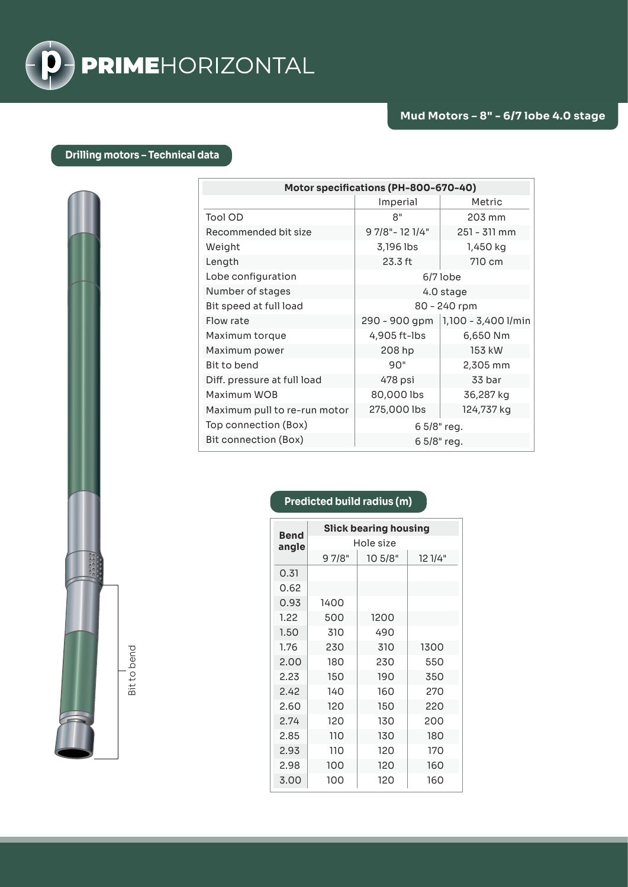

## **Drilling motors – Technical data**

| Motor specifications (PH-800-670-40) |                  |                     |  |
|--------------------------------------|------------------|---------------------|--|
|                                      | Imperial         | Metric              |  |
| Tool OD                              | 8"               | 203 mm              |  |
| Recommended bit size                 | 9 7/8" - 12 1/4" | $251 - 311$ mm      |  |
| Weight                               | 3,196 lbs        | 1,450 kg            |  |
| Length                               | 23.3 ft          | 710 cm              |  |
| Lobe configuration                   | $6/7$ lobe       |                     |  |
| Number of stages                     | 4.0 stage        |                     |  |
| Bit speed at full load               | 80 - 240 rpm     |                     |  |
| Flow rate                            | 290 - 900 gpm    | 1,100 - 3,400 1/min |  |
| Maximum torque                       | 4,905 ft-lbs     | 6,650 Nm            |  |
| Maximum power                        | 208 hp           | 153 kW              |  |
| Bit to bend                          | 90"              | 2,305 mm            |  |
| Diff. pressure at full load          | 478 psi          | 33 bar              |  |
| Maximum WOB                          | 80,000 lbs       | 36,287 kg           |  |
| Maximum pull to re-run motor         | 275,000 lbs      | 124,737 kg          |  |
| Top connection (Box)                 | 6 5/8" reg.      |                     |  |
| Bit connection (Box)                 | 6 5/8" reg.      |                     |  |

Bit to bend Bit to bend

## **Predicted build radius (m)**

| <b>Bend</b> | <b>Slick bearing housing</b> |         |         |  |
|-------------|------------------------------|---------|---------|--|
| angle       | Hole size                    |         |         |  |
|             | 97/8"                        | 10 5/8" | 12 1/4" |  |
| 0.31        |                              |         |         |  |
| 0.62        |                              |         |         |  |
| 0.93        | 1400                         |         |         |  |
| 1.22        | 500                          | 1200    |         |  |
| 1.50        | 310                          | 490     |         |  |
| 1.76        | 230                          | 310     | 1300    |  |
| 2.00        | 180                          | 230     | 550     |  |
| 2.23        | 150                          | 190     | 350     |  |
| 2.42        | 140                          | 160     | 270     |  |
| 2.60        | 120                          | 150     | 220     |  |
| 2.74        | 120                          | 130     | 200     |  |
| 2.85        | 110                          | 130     | 180     |  |
| 2.93        | 110                          | 120     | 170     |  |
| 2.98        | 100                          | 120     | 160     |  |
| 3.00        | 100                          | 120     | 160     |  |